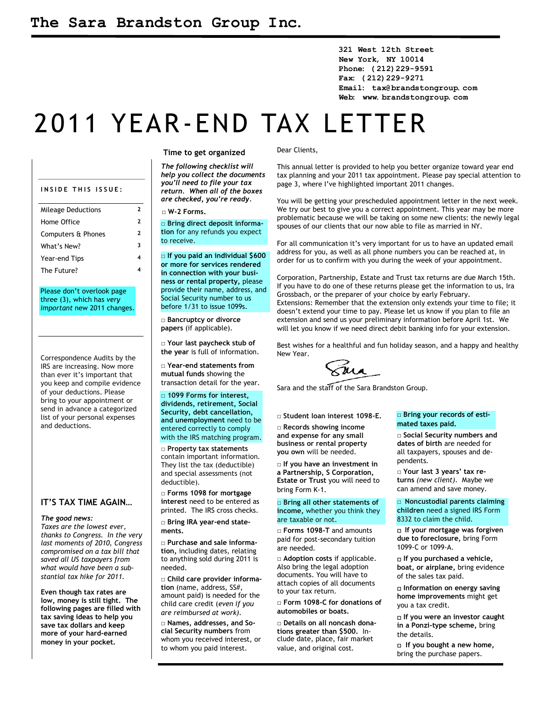**321 West 12th Street New York, NY 10014 Phone: (212)229-9591 Fax: (212)229-9271 Email: tax@brandstongroup.com Web: www.brandstongroup.com**

# 2011 YEAR-END TAX LETTER

| INSIDE THIS ISSUE:        |   |
|---------------------------|---|
| <b>Mileage Deductions</b> | 2 |
| Home Office               | 2 |
| Computers & Phones        | 2 |
| What's New?               | ર |
| Year-end Tips             |   |
| The Future?               |   |

Please don't overlook page three (3), which has *very important* new 2011 changes.

Correspondence Audits by the IRS are increasing. Now more than ever it's important that you keep and compile evidence of your deductions. Please bring to your appointment or send in advance a categorized list of your personal expenses and deductions.

#### **IT'S TAX TIME AGAIN…**

#### *The good news:*

*Taxes are the lowest ever, thanks to Congress. In the very last moments of 2010, Congress compromised on a tax bill that saved all US taxpayers from what would have been a substantial tax hike for 2011.*

**Even though tax rates are low, money is still tight. The following pages are filled with tax saving ideas to help you save tax dollars and keep more of your hard-earned money in your pocket.**

#### **Time to get organized**

*The following checklist will help you collect the documents you'll need to file your tax return. When all of the boxes are checked, you're ready.*

**□ W-2 Forms.**

□ **Bring direct deposit information** for any refunds you expect to receive.

□ **If you paid an individual \$600 or more for services rendered in connection with your business or rental property,** please provide their name, address, and Social Security number to us before 1/31 to issue 1099s.

**□ Bancruptcy or divorce papers** (if applicable).

**□ Your last paycheck stub of the year** is full of information.

**□ Year-end statements from mutual funds** showing the transaction detail for the year.

**□ 1099 Forms for interest, dividends, retirement, Social Security, debt cancellation, and unemployment** need to be entered correctly to comply with the IRS matching program.

**□ Property tax statements** contain important information. They list the tax (deductible) and special assessments (not deductible).

**□ Forms 1098 for mortgage interest** need to be entered as printed. The IRS cross checks.

**□ Bring IRA year-end statements.**

**□ Purchase and sale information,** including dates, relating to anything sold during 2011 is needed.

**□ Child care provider information** (name, address, SS#, amount paid) is needed for the child care credit (*even if you are reimbursed at work).*

**□ Names, addresses, and Social Security numbers** from whom you received interest, or to whom you paid interest.

Dear Clients,

This annual letter is provided to help you better organize toward year end tax planning and your 2011 tax appointment. Please pay special attention to page 3, where I've highlighted important 2011 changes.

You will be getting your prescheduled appointment letter in the next week. We try our best to give you a correct appointment. This year may be more problematic because we will be taking on some new clients: the newly legal spouses of our clients that our now able to file as married in NY.

For all communication it's very important for us to have an updated email address for you, as well as all phone numbers you can be reached at, in order for us to confirm with you during the week of your appointment.

Corporation, Partnership, Estate and Trust tax returns are due March 15th. If you have to do one of these returns please get the information to us, Ira Grossbach, or the preparer of your choice by early February. Extensions: Remember that the extension only extends your time to file; it doesn't extend your time to pay. Please let us know if you plan to file an extension and send us your preliminary information before April 1st. We will let you know if we need direct debit banking info for your extension.

Best wishes for a healthful and fun holiday season, and a happy and healthy New Year.

 $\widehat{\mathfrak{g}}$ ua

Sara and the staff of the Sara Brandston Group.

**□ Records showing income and expense for any small business or rental property you own** will be needed. **□ Student loan interest 1098-E.**

**□ If you have an investment in a Partnership, S Corporation, Estate or Trust** you will need to bring Form K-1.

**□ Bring all other statements of income,** whether you think they are taxable or not.

**□ Forms 1098-T** and amounts paid for post-secondary tuition are needed.

**□ Adoption costs** if applicable. Also bring the legal adoption documents. You will have to attach copies of all documents to your tax return.

**□ Form 1098-C for donations of automobiles or boats.**

**□ Details on all noncash donations greater than \$500.** Include date, place, fair market value, and original cost.

#### **□ Bring your records of estimated taxes paid.**

**□ Social Security numbers and dates of birth** are needed for all taxpayers, spouses and dependents.

**□ Your last 3 years' tax returns** *(new client)*. Maybe we can amend and save money.

□ **Noncustodial parents claiming children** need a signed IRS Form 8332 to claim the child.

□ **If your mortgage was forgiven due to foreclosure,** bring Form 1099-C or 1099-A.

□ **If you purchased a vehicle, boat, or airplane,** bring evidence of the sales tax paid.

□ **Information on energy saving home improvements** might get you a tax credit.

□ **If you were an investor caught in a Ponzi-type scheme,** bring the details.

□ **If you bought a new home,** bring the purchase papers.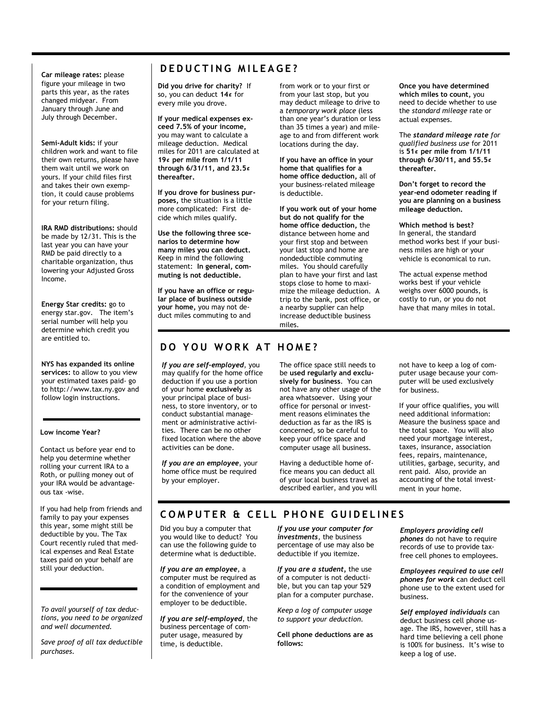**Car mileage rates:** please figure your mileage in two parts this year, as the rates changed midyear. From January through June and July through December.

**Semi-Adult kids:** if your children work and want to file their own returns, please have them wait until we work on yours. If your child files first and takes their own exemption, it could cause problems for your return filing.

**IRA RMD distributions:** should be made by 12/31. This is the last year you can have your RMD be paid directly to a charitable organization, thus lowering your Adjusted Gross Income.

**Energy Star credits:** go to energy star.gov. The item's serial number will help you determine which credit you are entitled to.

**NYS has expanded its online services:** to allow to you view your estimated taxes paid- go to http://www.tax.ny.gov and follow login instructions.

#### **Low income Year?**

Contact us before year end to help you determine whether rolling your current IRA to a Roth, or pulling money out of your IRA would be advantageous tax -wise.

If you had help from friends and family to pay your expenses this year, some might still be deductible by you. The Tax Court recently ruled that medical expenses and Real Estate taxes paid on your behalf are still your deduction.

*To avail yourself of tax deductions, you need to be organized and well documented.* 

*Save proof of all tax deductible purchases.* 

### $D$  **EDUCTING** MILEAGE?

**Did you drive for charity?** If so, you can deduct **14¢** for every mile you drove.

**If your medical expenses exceed 7.5% of your income,** you may want to calculate a mileage deduction. Medical miles for 2011 are calculated at **19¢ per mile from 1/1/11 through 6/31/11, and 23.5¢ thereafter.** 

**If you drove for business purposes,** the situation is a little more complicated: First decide which miles qualify.

**Use the following three scenarios to determine how many miles you can deduct.** Keep in mind the following statement: **In general, commuting is not deductible.** 

**If you have an office or regular place of business outside your home,** you may not deduct miles commuting to and

from work or to your first or from your last stop, but you may deduct mileage to drive to a *temporary work place* (less than one year's duration or less than 35 times a year) and mileage to and from different work locations during the day.

**If you have an office in your home that qualifies for a home office deduction,** all of your business-related mileage is deductible.

**If you work out of your home but do not qualify for the home office deduction,** the distance between home and your first stop and between your last stop and home are nondeductible commuting miles. You should carefully plan to have your first and last stops close to home to maximize the mileage deduction. A trip to the bank, post office, or a nearby supplier can help increase deductible business miles.

**Once you have determined which miles to count,** you need to decide whether to use the *standard mileage* rate or actual expenses.

The *standard mileage rate for qualified business use* for 2011 is **51¢ per mile from 1/1/11 through 6/30/11, and 55.5¢ thereafter.**

**Don't forget to record the year-end odometer reading if you are planning on a business mileage deduction.** 

**Which method is best?**  In general, the standard method works best if your business miles are high or your vehicle is economical to run.

The actual expense method works best if your vehicle weighs over 6000 pounds, is costly to run, or you do not have that many miles in total.

### **DO YOU WORK AT HOME?**

*If you are self-employed*, you may qualify for the home office deduction if you use a portion of your home **exclusively** as your principal place of business, to store inventory, or to conduct substantial management or administrative activities. There can be no other fixed location where the above activities can be done.

*If you are an employee*, your home office must be required by your employer.

The office space still needs to be **used regularly and exclusively for business**. You can not have any other usage of the area whatsoever. Using your office for personal or investment reasons eliminates the deduction as far as the IRS is concerned, so be careful to keep your office space and computer usage all business.

Having a deductible home office means you can deduct all of your local business travel as described earlier, and you will not have to keep a log of computer usage because your computer will be used exclusively for business.

If your office qualifies, you will need additional information: Measure the business space and the total space. You will also need your mortgage interest, taxes, insurance, association fees, repairs, maintenance, utilities, garbage, security, and rent paid. Also, provide an accounting of the total investment in your home.

### **COMPUTER & CELL PHONE GUIDELINES**

Did you buy a computer that you would like to deduct? You can use the following guide to determine what is deductible.

*If you are an employee*, a computer must be required as a condition of employment and for the convenience of your employer to be deductible.

*If you are self-employed*, the business percentage of computer usage, measured by time, is deductible.

*If you use your computer for investments*, the business percentage of use may also be deductible if you itemize.

*If you are a student,* the use of a computer is not deductible, but you can tap your 529 plan for a computer purchase.

*Keep a log of computer usage to support your deduction.* 

**Cell phone deductions are as follows:** 

*Employers providing cell phones* do not have to require records of use to provide taxfree cell phones to employees.

*Employees required to use cell phones for work* can deduct cell phone use to the extent used for business.

*Self employed individuals* can deduct business cell phone usage. The IRS, however, still has a hard time believing a cell phone is 100% for business. It's wise to keep a log of use.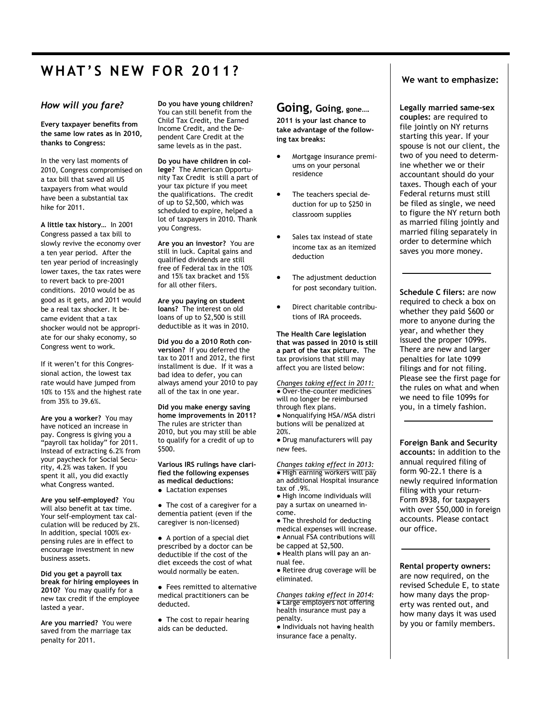# **WHAT' S NEW F O R 2011?**

#### *How will you fare?*

**Every taxpayer benefits from the same low rates as in 2010, thanks to Congress:**

In the very last moments of 2010, Congress compromised on a tax bill that saved all US taxpayers from what would have been a substantial tax hike for 2011.

**A little tax history…** In 2001 Congress passed a tax bill to slowly revive the economy over a ten year period. After the ten year period of increasingly lower taxes, the tax rates were to revert back to pre-2001 conditions. 2010 would be as good as it gets, and 2011 would be a real tax shocker. It became evident that a tax shocker would not be appropriate for our shaky economy, so Congress went to work.

If it weren't for this Congressional action, the lowest tax rate would have jumped from 10% to 15% and the highest rate from 35% to 39.6%.

**Are you a worker?** You may have noticed an increase in pay. Congress is giving you a "payroll tax holiday" for 2011. Instead of extracting 6.2% from your paycheck for Social Security, 4.2% was taken. If you spent it all, you did exactly what Congress wanted.

**Are you self-employed?** You will also benefit at tax time. Your self-employment tax calculation will be reduced by 2%. In addition, special 100% expensing rules are in effect to encourage investment in new business assets.

**Did you get a payroll tax break for hiring employees in 2010?** You may qualify for a new tax credit if the employee lasted a year.

**Are you married?** You were saved from the marriage tax penalty for 2011.

**Do you have young children?**  You can still benefit from the Child Tax Credit, the Earned Income Credit, and the Dependent Care Credit at the same levels as in the past.

**Do you have children in college?** The American Opportunity Tax Credit is still a part of your tax picture if you meet the qualifications. The credit of up to \$2,500, which was scheduled to expire, helped a lot of taxpayers in 2010. Thank you Congress.

**Are you an investor?** You are still in luck. Capital gains and qualified dividends are still free of Federal tax in the 10% and 15% tax bracket and 15% for all other filers.

**Are you paying on student loans?** The interest on old loans of up to \$2,500 is still deductible as it was in 2010.

**Did you do a 2010 Roth conversion?** If you deferred the tax to 2011 and 2012, the first installment is due. If it was a bad idea to defer, you can always amend your 2010 to pay all of the tax in one year.

**Did you make energy saving home improvements in 2011?** The rules are stricter than 2010, but you may still be able to qualify for a credit of up to \$500.

**Various IRS rulings have clarified the following expenses as medical deductions:** 

● Lactation expenses

● The cost of a caregiver for a dementia patient (even if the caregiver is non-licensed)

● A portion of a special diet prescribed by a doctor can be deductible if the cost of the diet exceeds the cost of what would normally be eaten.

● Fees remitted to alternative medical practitioners can be deducted.

● The cost to repair hearing aids can be deducted.

### **Going, Going, gone….**

**2011 is your last chance to take advantage of the following tax breaks:** 

- Mortgage insurance premiums on your personal residence
- The teachers special deduction for up to \$250 in classroom supplies
- Sales tax instead of state income tax as an itemized deduction
- The adjustment deduction for post secondary tuition.
- Direct charitable contributions of IRA proceeds.

**The Health Care legislation that was passed in 2010 is still a part of the tax picture.** The tax provisions that still may affect you are listed below:

*Changes taking effect in 2011:*  ● Over-the-counter medicines will no longer be reimbursed through flex plans. ● Nonqualifying HSA/MSA distri butions will be penalized at 20%. ● Drug manufacturers will pay

new fees.

*Changes taking effect in 2013:*  ● High earning workers will pay an additional Hospital insurance tax of .9%.

● High income individuals will pay a surtax on unearned income.

• The threshold for deducting medical expenses will increase.

● Annual FSA contributions will be capped at \$2,500.

● Health plans will pay an annual fee.

● Retiree drug coverage will be eliminated.

*Changes taking effect in 2014:*  • Large employers not offering health insurance must pay a penalty.

● Individuals not having health insurance face a penalty.

### **We want to emphasize:**

**Legally married same-sex couples:** are required to file jointly on NY returns starting this year. If your spouse is not our client, the two of you need to determine whether we or their accountant should do your taxes. Though each of your Federal returns must still be filed as single, we need to figure the NY return both as married filing jointly and married filing separately in order to determine which saves you more money.

**Schedule C filers:** are now required to check a box on whether they paid \$600 or more to anyone during the year, and whether they issued the proper 1099s. There are new and larger penalties for late 1099 filings and for not filing. Please see the first page for the rules on what and when we need to file 1099s for you, in a timely fashion.

**Foreign Bank and Security accounts:** in addition to the annual required filing of form 90-22.1 there is a newly required information filing with your return-Form 8938, for taxpayers with over \$50,000 in foreign accounts. Please contact our office.

**Rental property owners:**  are now required, on the revised Schedule E, to state how many days the property was rented out, and how many days it was used by you or family members.